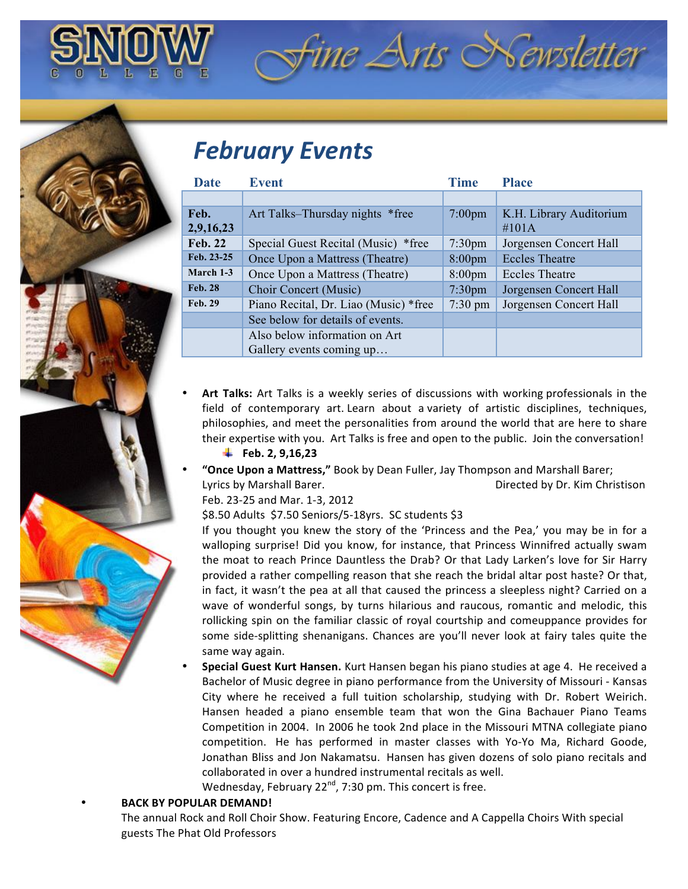## *February Events*

| <b>Date</b>    | <b>Event</b>                          | <b>Time</b>        | <b>Place</b>            |
|----------------|---------------------------------------|--------------------|-------------------------|
|                |                                       |                    |                         |
| Feb.           | Art Talks–Thursday nights *free       | $7:00$ pm          | K.H. Library Auditorium |
| 2,9,16,23      |                                       |                    | $\#101A$                |
| <b>Feb. 22</b> | Special Guest Recital (Music) *free   | $7:30$ pm          | Jorgensen Concert Hall  |
| Feb. 23-25     | Once Upon a Mattress (Theatre)        | 8:00 <sub>pm</sub> | <b>Eccles Theatre</b>   |
| March 1-3      | Once Upon a Mattress (Theatre)        | 8:00 <sub>pm</sub> | <b>Eccles Theatre</b>   |
| <b>Feb. 28</b> | Choir Concert (Music)                 | 7:30 <sub>pm</sub> | Jorgensen Concert Hall  |
| <b>Feb. 29</b> | Piano Recital, Dr. Liao (Music) *free | $7:30 \text{ pm}$  | Jorgensen Concert Hall  |
|                | See below for details of events.      |                    |                         |
|                | Also below information on Art         |                    |                         |
|                | Gallery events coming up              |                    |                         |

 $\hat{z}$ ine Arts Newsletter

**Art Talks:** Art Talks is a weekly series of discussions with working professionals in the field of contemporary art. Learn about a variety of artistic disciplines, techniques, philosophies, and meet the personalities from around the world that are here to share their expertise with you. Art Talks is free and open to the public. Join the conversation!

## Feb. 2, 9,16,23

"Once Upon a Mattress," Book by Dean Fuller, Jay Thompson and Marshall Barer; Lyrics by Marshall Barer. **In the United States and States Baret Christison** Directed by Dr. Kim Christison

Feb. 23-25 and Mar. 1-3, 2012

\$8.50 Adults \$7.50 Seniors/5-18yrs. SC students \$3

If you thought you knew the story of the 'Princess and the Pea,' you may be in for a walloping surprise! Did you know, for instance, that Princess Winnifred actually swam the moat to reach Prince Dauntless the Drab? Or that Lady Larken's love for Sir Harry provided a rather compelling reason that she reach the bridal altar post haste? Or that, in fact, it wasn't the pea at all that caused the princess a sleepless night? Carried on a wave of wonderful songs, by turns hilarious and raucous, romantic and melodic, this rollicking spin on the familiar classic of royal courtship and comeuppance provides for some side-splitting shenanigans. Chances are you'll never look at fairy tales quite the same way again.

**Special Guest Kurt Hansen.** Kurt Hansen began his piano studies at age 4. He received a Bachelor of Music degree in piano performance from the University of Missouri - Kansas City where he received a full tuition scholarship, studying with Dr. Robert Weirich. Hansen headed a piano ensemble team that won the Gina Bachauer Piano Teams Competition in 2004. In 2006 he took 2nd place in the Missouri MTNA collegiate piano competition. He has performed in master classes with Yo-Yo Ma, Richard Goode, Jonathan Bliss and Jon Nakamatsu. Hansen has given dozens of solo piano recitals and collaborated in over a hundred instrumental recitals as well.

Wednesday, February 22 $<sup>nd</sup>$ , 7:30 pm. This concert is free.</sup>

## **BACK BY POPULAR DEMAND!**

The annual Rock and Roll Choir Show. Featuring Encore, Cadence and A Cappella Choirs With special guests The Phat Old Professors